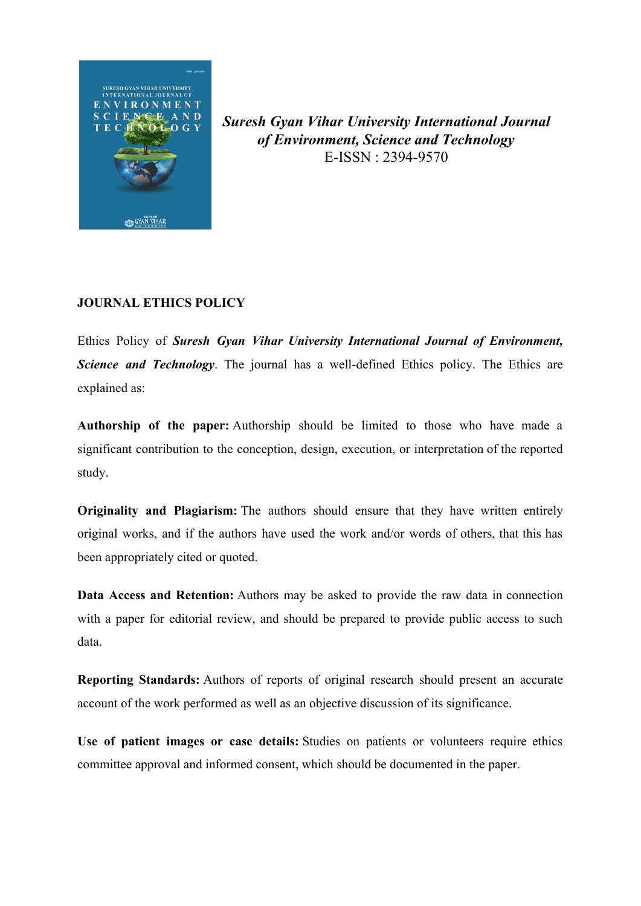

*Suresh Gyan Vihar University International Journal of Environment, Science and Technology* E-ISSN : 2394-9570

## **JOURNAL ETHICS POLICY**

Ethics Policy of *Suresh Gyan Vihar University International Journal of Environment, Science and Technology*. The journal has a well-defined Ethics policy. The Ethics are explained as:

**Authorship of the paper:** Authorship should be limited to those who have made a significant contribution to the conception, design, execution, or interpretation of the reported study.

**Originality and Plagiarism:** The authors should ensure that they have written entirely original works, and if the authors have used the work and/or words of others, that this has been appropriately cited or quoted.

**Data Access and Retention:** Authors may be asked to provide the raw data in connection with a paper for editorial review, and should be prepared to provide public access to such data.

**Reporting Standards:** Authors of reports of original research should present an accurate account of the work performed as well as an objective discussion of its significance.

**Use of patient images or case details:** Studies on patients or volunteers require ethics committee approval and informed consent, which should be documented in the paper.